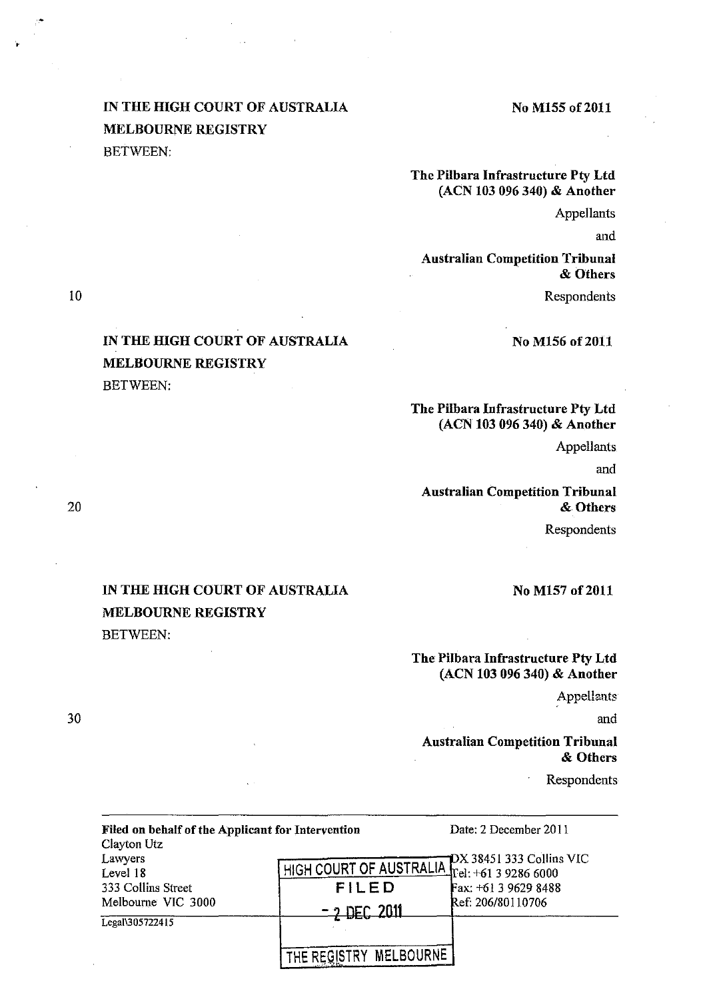## IN THE HIGH COURT OF AUSTRALIA MELBOURNE REGISTRY BETWEEN:

IN THE HIGH COURT OF AUSTRALIA

MELBOURNE REGISTRY

BETWEEN:

#### No M155 of 2011

## The Pilbara Infrastructure Pty Ltd (ACN 103 096 340) & Another

**Appellants** 

and

Australian Competition Tribunal & Others

Respondents

No M156 of 2011

## The Pilbara Infrastructure Pty Ltd (ACN 103 096 340) & Another

Appellants

and

Australian Competition Tribunal & Others

Respondents

# IN THE HIGH COURT OF AUSTRALIA MELBOURNE REGISTRY BETWEEN:

No M157 of 2011

## The Pilbara Infrastructure Pty Ltd (ACN 103 096 340) & Another

Appellants

and

## Australian Competition Tribunal & Others

Respondents

| Filed on behalf of the Applicant for Intervention                              |                        | Date: 2 December 2011                                                           |
|--------------------------------------------------------------------------------|------------------------|---------------------------------------------------------------------------------|
| Clayton Utz<br>Lawyers<br>Level 18<br>333 Collins Street<br>Melbourne VIC 3000 |                        | $\neg$ DX 38451 333 Collins VIC<br>HIGH COURT OF AUSTRALIA Tel: +61 3 9286 6000 |
|                                                                                | FILED                  | Fax: +61 3 9629 8488                                                            |
|                                                                                | $-2$ DEC 2011          | Ref: 206/80110706                                                               |
| Legal\305722415                                                                |                        |                                                                                 |
|                                                                                | THE REGISTRY MELBOURNE |                                                                                 |
|                                                                                |                        |                                                                                 |

20

10

•

30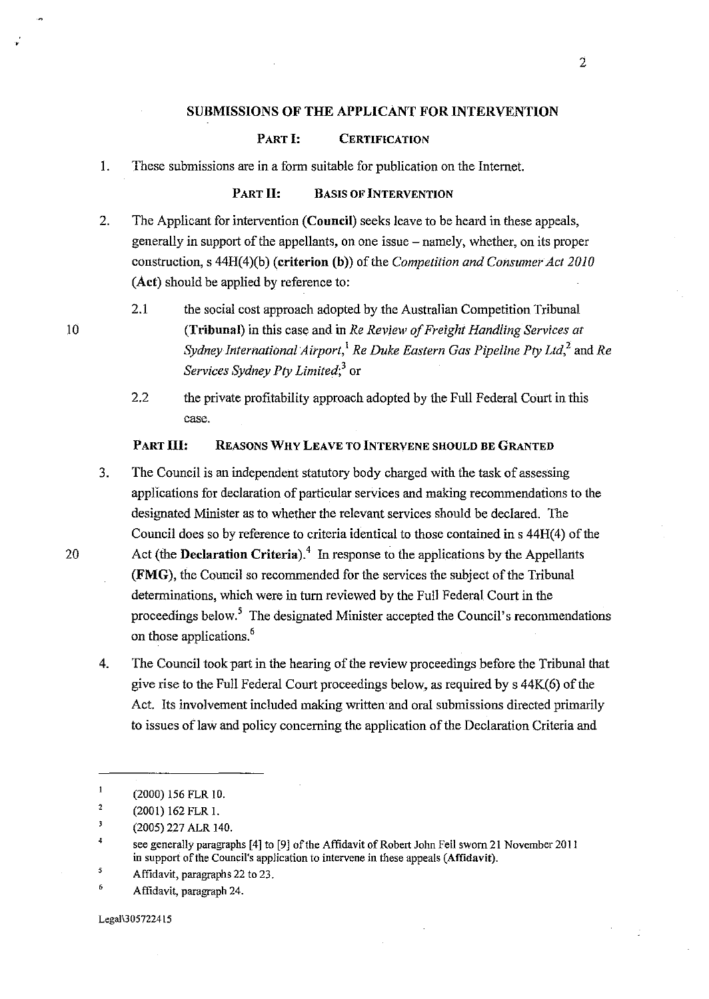#### SUBMISSIONS OF THE APPLICANT FOR INTERVENTION

### PART I: **CERTIFICATION**

#### PART II: BASIS OF INTERVENTION

2. The Applicant for intervention (Council) seeks leave to be heard in these appeals, generally in support of the appellants, on one issue  $-$  namely, whether, on its proper construction, s 44H(4)(b) (criterion (b)) of the *Competition and Consumer Act 2010*  (Act) should be applied by reference to:

10

•

2.1 the social cost approach adopted by the Australian Competition Tribunal (Tribunal) in this case and in *Re Review of Freight Handling Services at Sydney International Airport*,<sup>1</sup> *Re Duke Eastern Gas Pipeline Pty Ltd*,<sup>2</sup> and *Re Services Sydney Pty Limited;3* or

2.2 the private profitability approach adopted by the Full Federal Court in this case.

### PART III: REASONS WHY LEAVE TO INTERVENE SHOULD BE GRANTED

- 3. The Council is an independent statutory body charged with the task of assessing applications for declaration of particular services and making recommendations to the designated Minister as to whether the relevant services should be declared. The Council does so by reference to criteria identical to those contained in s 44H(4) of the 20 Act (the **Declaration Criteria**).<sup>4</sup> In response to the applications by the Appellants (FMG), the Council so recommended for the services the subject of the Tribunal determinations, which were in tum reviewed by the Full Federal Court in the proceedings below.5 The designated Minister accepted the Council's recommendations on those applications.<sup>6</sup>
	- 4. The Council took part in the hearing of the review proceedings before the Tribunal that give rise to the Full Federal Court proceedings below, as required by s 44K(6) of the Act. Its involvement included making written and oral submissions directed primarily to issues of law and policy concerning the application of the Declaration Criteria and

Legali305722415

I. These submissions are in a form suitable for publication on the Internet.

 $\mathbf{1}$ (2000) 156 FLR 10.

<sup>2</sup>  (2001) 162 FLR I.

 $\overline{\mathbf{3}}$ (2005) 227 ALR 140.

 $\ddot{a}$ see generally paragraphs [4] to [9] of the Affidavit of Robert John Feil sworn 21 November 2011 in support of the Council's application to intervene in these appeals (Affidavit).

<sup>&#</sup>x27; Affidavit, paragraphs 22 to 23.

<sup>6</sup>  Affidavit, paragraph 24.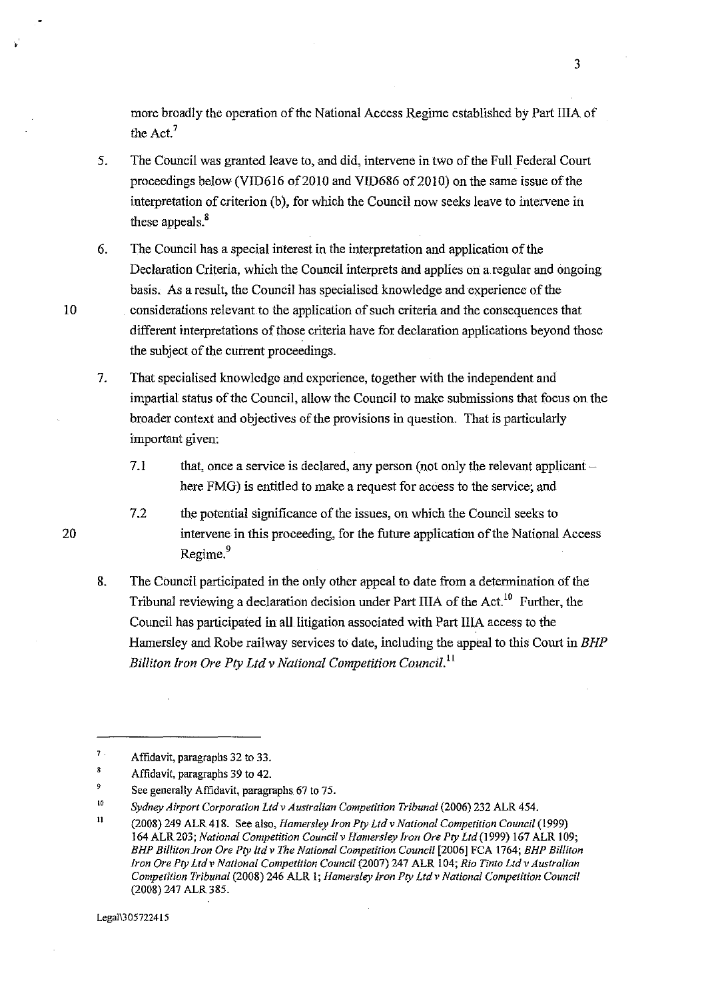more broadly the operation of the National Access Regime established by Part IliA of the Act.<sup>7</sup>

- 5. The Council was granted leave to, and did, intervene in two of the Full Federal Court proceedings below (VID616 of 2010 and VID686 of 2010) on the same issue of the interpretation of criterion (b), for which the Council now seeks leave to intervene in these appeals.<sup>8</sup>
- 6. The Council has a special interest in the interpretation and application of the Declaration Criteria, which the Council interprets and applies on a regular and ongoing basis. As a result, the Council has specialised knowledge and experience of the
- 

20

10 considerations relevant to the application of such criteria and the consequences that different interpretations of those criteria have for declaration applications beyond those the subject of the current proceedings.

7. That specialised knowledge and experience, together with the independent and impartial status of the Council, allow the Council to make submissions that focus on the broader context and objectives of the provisions in question. That is particularly important given:

7.1 that, once a service is declared, any person (not only the relevant applicant  $$ here FMG) is entitled to make a request for access to the service; and

7.2 the potential significance of the issues, on which the Council seeks to intervene in this proceeding, for the future application of the National Access Regime.<sup>9</sup>

8. The Council participated in the only other appeal to date from a determination of the Tribunal reviewing a declaration decision under Part IIIA of the Act.<sup>10</sup> Further, the Council has participated in all litigation associated with Part IIIA access to the Hamersley and Robe railway services to date, including the appeal to this Court in *BHP Billiton Iron Ore Pty Ltd v National Competition Council.*<sup>11</sup>

<sup>7</sup>  Affidavit, paragraphs 32 to 33.

<sup>8</sup>  Affidavit, paragraphs 39 to 42.

<sup>9</sup>  See generally Affidavit, paragraphs 67 to 75.

<sup>10</sup>  *Sydney Airport Corporation Ltd v Australian Competition Tribunal* (2006) 232 ALR 454.

<sup>11</sup>  (2008) 249 ALR 418. See also, *Hamersley Iron Pty Ltd v National Competition Council* ( 1999) 164 ALR 203; *National Competition Council v Hamersley Iron Ore Pty Ltd* (1999) 167 ALR I 09; *BHP BillitonJron Ore Pty ltd v I11e National Competition Council* [2006] FCA 1764; *BHP Billiton Iron Ore Pty Ltd* l' *National Competition Council* (2007) 247 ALR 104; *Rio Tinto Ltd* v *Australian Competition Tribunal* (2008) 246 ALR I; *Hamersley Iron Pty Ltd v National Competition Council*  (2008) 247 ALR 385.